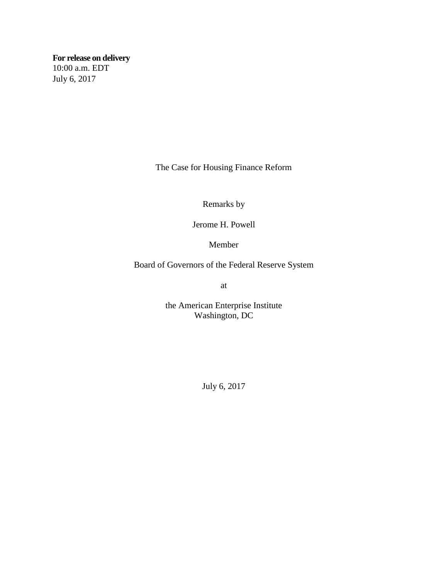**For release on delivery** 10:00 a.m. EDT July 6, 2017

The Case for Housing Finance Reform

Remarks by

Jerome H. Powell

Member

Board of Governors of the Federal Reserve System

at

the American Enterprise Institute Washington, DC

July 6, 2017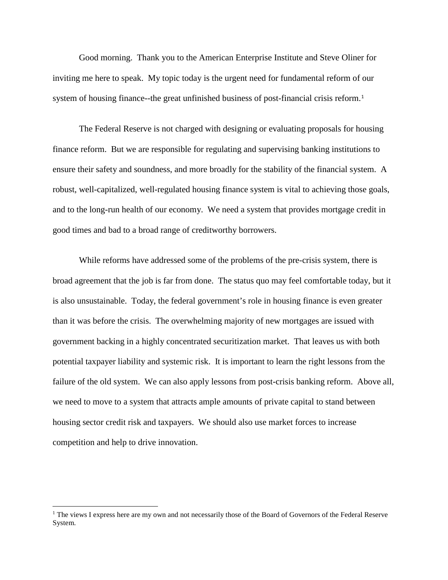Good morning. Thank you to the American Enterprise Institute and Steve Oliner for inviting me here to speak. My topic today is the urgent need for fundamental reform of our system of housing finance--the great unfinished business of post-financial crisis reform.<sup>[1](#page-1-0)</sup>

The Federal Reserve is not charged with designing or evaluating proposals for housing finance reform. But we are responsible for regulating and supervising banking institutions to ensure their safety and soundness, and more broadly for the stability of the financial system. A robust, well-capitalized, well-regulated housing finance system is vital to achieving those goals, and to the long-run health of our economy. We need a system that provides mortgage credit in good times and bad to a broad range of creditworthy borrowers.

While reforms have addressed some of the problems of the pre-crisis system, there is broad agreement that the job is far from done. The status quo may feel comfortable today, but it is also unsustainable. Today, the federal government's role in housing finance is even greater than it was before the crisis. The overwhelming majority of new mortgages are issued with government backing in a highly concentrated securitization market. That leaves us with both potential taxpayer liability and systemic risk. It is important to learn the right lessons from the failure of the old system. We can also apply lessons from post-crisis banking reform. Above all, we need to move to a system that attracts ample amounts of private capital to stand between housing sector credit risk and taxpayers. We should also use market forces to increase competition and help to drive innovation.

l

<span id="page-1-0"></span> $<sup>1</sup>$  The views I express here are my own and not necessarily those of the Board of Governors of the Federal Reserve</sup> System.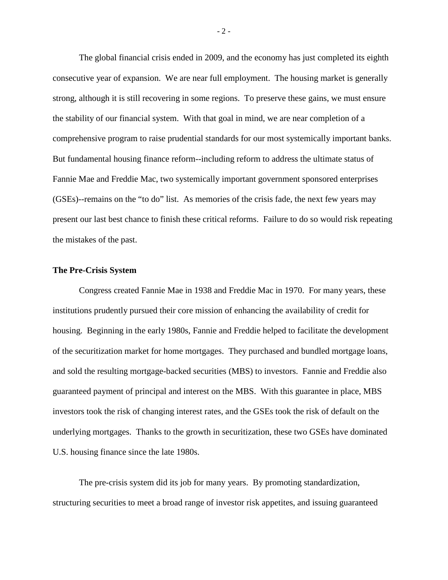The global financial crisis ended in 2009, and the economy has just completed its eighth consecutive year of expansion. We are near full employment. The housing market is generally strong, although it is still recovering in some regions. To preserve these gains, we must ensure the stability of our financial system. With that goal in mind, we are near completion of a comprehensive program to raise prudential standards for our most systemically important banks. But fundamental housing finance reform--including reform to address the ultimate status of Fannie Mae and Freddie Mac, two systemically important government sponsored enterprises (GSEs)--remains on the "to do" list. As memories of the crisis fade, the next few years may present our last best chance to finish these critical reforms. Failure to do so would risk repeating the mistakes of the past.

### **The Pre-Crisis System**

Congress created Fannie Mae in 1938 and Freddie Mac in 1970. For many years, these institutions prudently pursued their core mission of enhancing the availability of credit for housing. Beginning in the early 1980s, Fannie and Freddie helped to facilitate the development of the securitization market for home mortgages. They purchased and bundled mortgage loans, and sold the resulting mortgage-backed securities (MBS) to investors. Fannie and Freddie also guaranteed payment of principal and interest on the MBS. With this guarantee in place, MBS investors took the risk of changing interest rates, and the GSEs took the risk of default on the underlying mortgages. Thanks to the growth in securitization, these two GSEs have dominated U.S. housing finance since the late 1980s.

The pre-crisis system did its job for many years. By promoting standardization, structuring securities to meet a broad range of investor risk appetites, and issuing guaranteed

 $-2-$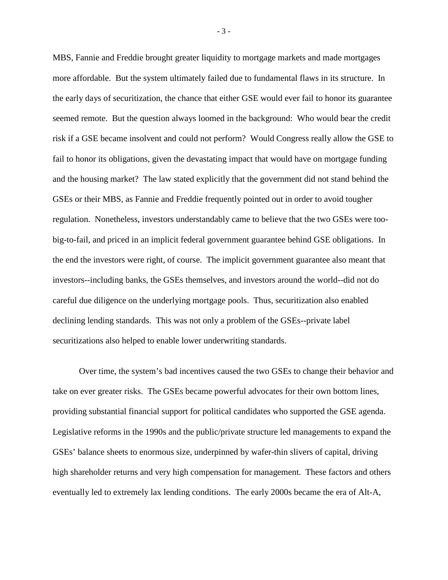MBS, Fannie and Freddie brought greater liquidity to mortgage markets and made mortgages more affordable. But the system ultimately failed due to fundamental flaws in its structure. In the early days of securitization, the chance that either GSE would ever fail to honor its guarantee seemed remote. But the question always loomed in the background: Who would bear the credit risk if a GSE became insolvent and could not perform? Would Congress really allow the GSE to fail to honor its obligations, given the devastating impact that would have on mortgage funding and the housing market? The law stated explicitly that the government did not stand behind the GSEs or their MBS, as Fannie and Freddie frequently pointed out in order to avoid tougher regulation. Nonetheless, investors understandably came to believe that the two GSEs were toobig-to-fail, and priced in an implicit federal government guarantee behind GSE obligations. In the end the investors were right, of course. The implicit government guarantee also meant that investors--including banks, the GSEs themselves, and investors around the world--did not do careful due diligence on the underlying mortgage pools. Thus, securitization also enabled declining lending standards. This was not only a problem of the GSEs--private label securitizations also helped to enable lower underwriting standards.

Over time, the system's bad incentives caused the two GSEs to change their behavior and take on ever greater risks. The GSEs became powerful advocates for their own bottom lines, providing substantial financial support for political candidates who supported the GSE agenda. Legislative reforms in the 1990s and the public/private structure led managements to expand the GSEs' balance sheets to enormous size, underpinned by wafer-thin slivers of capital, driving high shareholder returns and very high compensation for management. These factors and others eventually led to extremely lax lending conditions. The early 2000s became the era of Alt-A,

- 3 -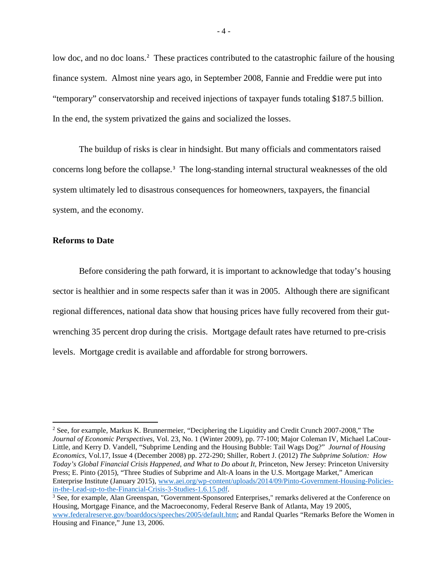low doc, and no doc loans.<sup>[2](#page-4-0)</sup> These practices contributed to the catastrophic failure of the housing finance system. Almost nine years ago, in September 2008, Fannie and Freddie were put into "temporary" conservatorship and received injections of taxpayer funds totaling \$187.5 billion. In the end, the system privatized the gains and socialized the losses.

The buildup of risks is clear in hindsight. But many officials and commentators raised concerns long before the collapse.[3](#page-4-1) The long-standing internal structural weaknesses of the old system ultimately led to disastrous consequences for homeowners, taxpayers, the financial system, and the economy.

### **Reforms to Date**

 $\overline{\phantom{a}}$ 

Before considering the path forward, it is important to acknowledge that today's housing sector is healthier and in some respects safer than it was in 2005. Although there are significant regional differences, national data show that housing prices have fully recovered from their gutwrenching 35 percent drop during the crisis. Mortgage default rates have returned to pre-crisis levels. Mortgage credit is available and affordable for strong borrowers.

<span id="page-4-0"></span><sup>&</sup>lt;sup>2</sup> See, for example, Markus K. Brunnermeier, "Deciphering the Liquidity and Credit Crunch 2007-2008," The *Journal of Economic Perspectives*, Vol. 23, No. 1 (Winter 2009), pp. 77-100; Major Coleman IV, Michael LaCour-Little, and Kerry D. Vandell, "Subprime Lending and the Housing Bubble: Tail Wags Dog?" *Journal of Housing Economics,* Vol.17, Issue 4 (December 2008) pp. 272-290; Shiller, Robert J. (2012) *The Subprime Solution: How Today's Global Financial Crisis Happened, and What to Do about It,* Princeton, New Jersey: Princeton University Press; E. Pinto (2015), "Three Studies of Subprime and Alt-A loans in the U.S. Mortgage Market," American Enterprise Institute (January 2015), [www.aei.org/wp-content/uploads/2014/09/Pinto-Government-Housing-Policies](https://www.aei.org/wp-content/uploads/2014/09/Pinto-Government-Housing-Policies-in-the-Lead-up-to-the-Financial-Crisis-3-Studies-1.6.15.pdf)[in-the-Lead-up-to-the-Financial-Crisis-3-Studies-1.6.15.pdf.](https://www.aei.org/wp-content/uploads/2014/09/Pinto-Government-Housing-Policies-in-the-Lead-up-to-the-Financial-Crisis-3-Studies-1.6.15.pdf)

<span id="page-4-1"></span><sup>3</sup> See, for example, Alan Greenspan, "Government-Sponsored Enterprises," remarks delivered at the Conference on Housing, Mortgage Finance, and the Macroeconomy, Federal Reserve Bank of Atlanta, May 19 2005, [www.federalreserve.gov/boarddocs/speeches/2005/default.htm;](http://www.federalreserve.gov/boarddocs/speeches/2005/default.htm) and Randal Quarles "Remarks Before the Women in Housing and Finance," June 13, 2006.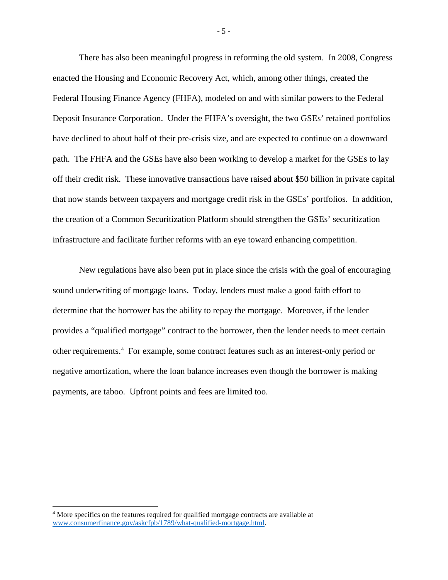There has also been meaningful progress in reforming the old system. In 2008, Congress enacted the Housing and Economic Recovery Act, which, among other things, created the Federal Housing Finance Agency (FHFA), modeled on and with similar powers to the Federal Deposit Insurance Corporation. Under the FHFA's oversight, the two GSEs' retained portfolios have declined to about half of their pre-crisis size, and are expected to continue on a downward path. The FHFA and the GSEs have also been working to develop a market for the GSEs to lay off their credit risk. These innovative transactions have raised about \$50 billion in private capital that now stands between taxpayers and mortgage credit risk in the GSEs' portfolios. In addition, the creation of a Common Securitization Platform should strengthen the GSEs' securitization infrastructure and facilitate further reforms with an eye toward enhancing competition.

New regulations have also been put in place since the crisis with the goal of encouraging sound underwriting of mortgage loans. Today, lenders must make a good faith effort to determine that the borrower has the ability to repay the mortgage. Moreover, if the lender provides a "qualified mortgage" contract to the borrower, then the lender needs to meet certain other requirements.<sup>[4](#page-5-0)</sup> For example, some contract features such as an interest-only period or negative amortization, where the loan balance increases even though the borrower is making payments, are taboo. Upfront points and fees are limited too.

l

<span id="page-5-0"></span><sup>4</sup> More specifics on the features required for qualified mortgage contracts are available at [www.consumerfinance.gov/askcfpb/1789/what-qualified-mortgage.html.](http://www.consumerfinance.gov/askcfpb/1789/what-qualified-mortgage.html)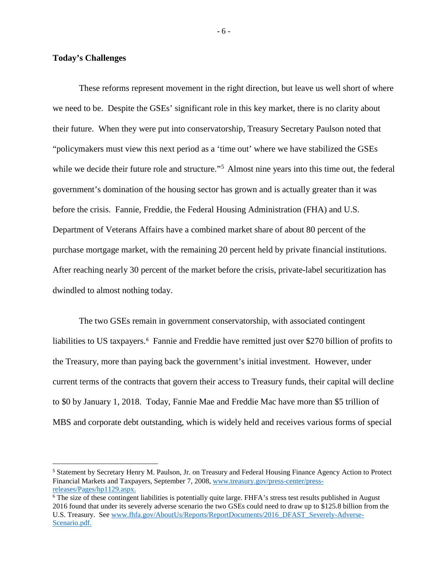## **Today's Challenges**

These reforms represent movement in the right direction, but leave us well short of where we need to be. Despite the GSEs' significant role in this key market, there is no clarity about their future. When they were put into conservatorship, Treasury Secretary Paulson noted that "policymakers must view this next period as a 'time out' where we have stabilized the GSEs while we decide their future role and structure."<sup>[5](#page-6-0)</sup> Almost nine years into this time out, the federal government's domination of the housing sector has grown and is actually greater than it was before the crisis. Fannie, Freddie, the Federal Housing Administration (FHA) and U.S. Department of Veterans Affairs have a combined market share of about 80 percent of the purchase mortgage market, with the remaining 20 percent held by private financial institutions. After reaching nearly 30 percent of the market before the crisis, private-label securitization has dwindled to almost nothing today.

The two GSEs remain in government conservatorship, with associated contingent liabilities to US taxpayers.<sup>[6](#page-6-1)</sup> Fannie and Freddie have remitted just over \$270 billion of profits to the Treasury, more than paying back the government's initial investment. However, under current terms of the contracts that govern their access to Treasury funds, their capital will decline to \$0 by January 1, 2018. Today, Fannie Mae and Freddie Mac have more than \$5 trillion of MBS and corporate debt outstanding, which is widely held and receives various forms of special

<span id="page-6-0"></span> <sup>5</sup> Statement by Secretary Henry M. Paulson, Jr. on Treasury and Federal Housing Finance Agency Action to Protect Financial Markets and Taxpayers, September 7, 2008, [www.treasury.gov/press-center/press](https://www.treasury.gov/press-center/press-releases/Pages/hp1129.aspx)[releases/Pages/hp1129.aspx.](https://www.treasury.gov/press-center/press-releases/Pages/hp1129.aspx)

<span id="page-6-1"></span><sup>&</sup>lt;sup>6</sup> The size of these contingent liabilities is potentially quite large. FHFA's stress test results published in August 2016 found that under its severely adverse scenario the two GSEs could need to draw up to \$125.8 billion from the U.S. Treasury. See [www.fhfa.gov/AboutUs/Reports/ReportDocuments/2016\\_DFAST\\_Severely-Adverse-](https://www.fhfa.gov/AboutUs/Reports/ReportDocuments/2016_DFAST_Severely-Adverse-Scenario.pdf)[Scenario.pdf.](https://www.fhfa.gov/AboutUs/Reports/ReportDocuments/2016_DFAST_Severely-Adverse-Scenario.pdf)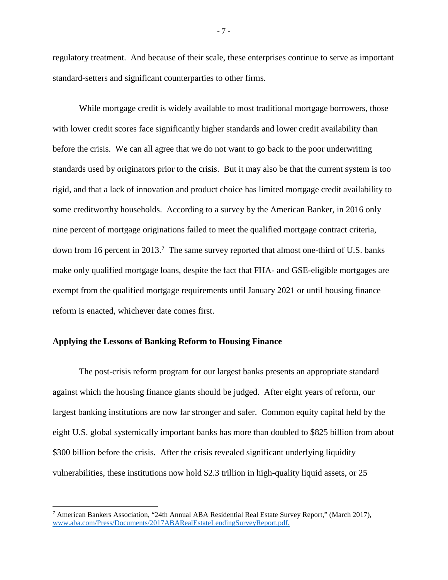regulatory treatment. And because of their scale, these enterprises continue to serve as important standard-setters and significant counterparties to other firms.

While mortgage credit is widely available to most traditional mortgage borrowers, those with lower credit scores face significantly higher standards and lower credit availability than before the crisis. We can all agree that we do not want to go back to the poor underwriting standards used by originators prior to the crisis. But it may also be that the current system is too rigid, and that a lack of innovation and product choice has limited mortgage credit availability to some creditworthy households. According to a survey by the American Banker, in 2016 only nine percent of mortgage originations failed to meet the qualified mortgage contract criteria, down from 16 percent in 2013.<sup>[7](#page-7-0)</sup> The same survey reported that almost one-third of U.S. banks make only qualified mortgage loans, despite the fact that FHA- and GSE-eligible mortgages are exempt from the qualified mortgage requirements until January 2021 or until housing finance reform is enacted, whichever date comes first.

# **Applying the Lessons of Banking Reform to Housing Finance**

l

The post-crisis reform program for our largest banks presents an appropriate standard against which the housing finance giants should be judged. After eight years of reform, our largest banking institutions are now far stronger and safer. Common equity capital held by the eight U.S. global systemically important banks has more than doubled to \$825 billion from about \$300 billion before the crisis. After the crisis revealed significant underlying liquidity vulnerabilities, these institutions now hold \$2.3 trillion in high-quality liquid assets, or 25

<span id="page-7-0"></span><sup>7</sup> American Bankers Association, "24th Annual ABA Residential Real Estate Survey Report," (March 2017), www.aba.com/Press/Documents/2017ABARealEstateLendingSurveyReport.pdf.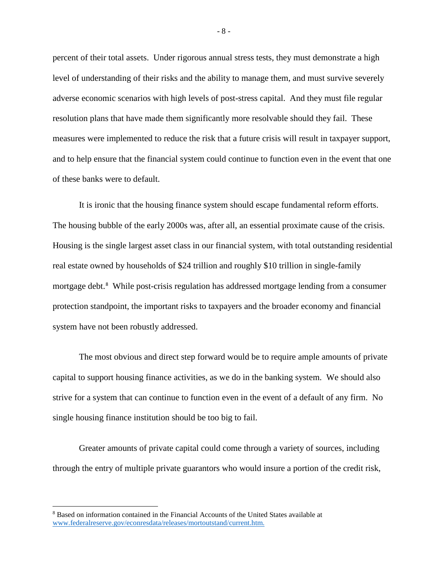percent of their total assets. Under rigorous annual stress tests, they must demonstrate a high level of understanding of their risks and the ability to manage them, and must survive severely adverse economic scenarios with high levels of post-stress capital. And they must file regular resolution plans that have made them significantly more resolvable should they fail. These measures were implemented to reduce the risk that a future crisis will result in taxpayer support, and to help ensure that the financial system could continue to function even in the event that one of these banks were to default.

It is ironic that the housing finance system should escape fundamental reform efforts. The housing bubble of the early 2000s was, after all, an essential proximate cause of the crisis. Housing is the single largest asset class in our financial system, with total outstanding residential real estate owned by households of \$24 trillion and roughly \$10 trillion in single-family mortgage debt. [8](#page-8-0) While post-crisis regulation has addressed mortgage lending from a consumer protection standpoint, the important risks to taxpayers and the broader economy and financial system have not been robustly addressed.

The most obvious and direct step forward would be to require ample amounts of private capital to support housing finance activities, as we do in the banking system. We should also strive for a system that can continue to function even in the event of a default of any firm. No single housing finance institution should be too big to fail.

Greater amounts of private capital could come through a variety of sources, including through the entry of multiple private guarantors who would insure a portion of the credit risk,

l

- 8 -

<span id="page-8-0"></span><sup>8</sup> Based on information contained in the Financial Accounts of the United States available at [www.federalreserve.gov/econresdata/releases/mortoutstand/current.htm.](https://www.federalreserve.gov/econresdata/releases/mortoutstand/current.htm)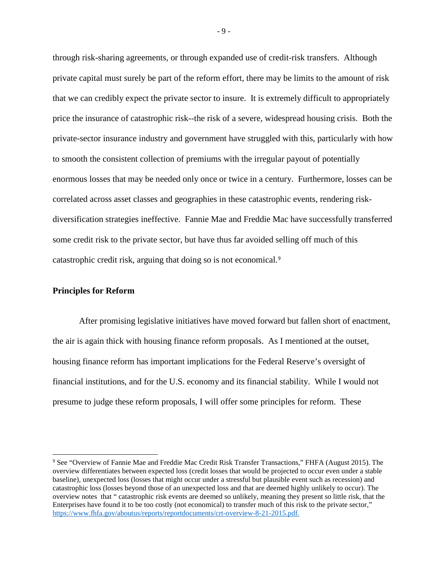through risk-sharing agreements, or through expanded use of credit-risk transfers. Although private capital must surely be part of the reform effort, there may be limits to the amount of risk that we can credibly expect the private sector to insure. It is extremely difficult to appropriately price the insurance of catastrophic risk--the risk of a severe, widespread housing crisis. Both the private-sector insurance industry and government have struggled with this, particularly with how to smooth the consistent collection of premiums with the irregular payout of potentially enormous losses that may be needed only once or twice in a century. Furthermore, losses can be correlated across asset classes and geographies in these catastrophic events, rendering riskdiversification strategies ineffective. Fannie Mae and Freddie Mac have successfully transferred some credit risk to the private sector, but have thus far avoided selling off much of this catastrophic credit risk, arguing that doing so is not economical.[9](#page-9-0)

### **Principles for Reform**

 $\overline{a}$ 

After promising legislative initiatives have moved forward but fallen short of enactment, the air is again thick with housing finance reform proposals. As I mentioned at the outset, housing finance reform has important implications for the Federal Reserve's oversight of financial institutions, and for the U.S. economy and its financial stability. While I would not presume to judge these reform proposals, I will offer some principles for reform. These

- 9 -

<span id="page-9-0"></span><sup>9</sup> See "Overview of Fannie Mae and Freddie Mac Credit Risk Transfer Transactions," FHFA (August 2015). The overview differentiates between expected loss (credit losses that would be projected to occur even under a stable baseline), unexpected loss (losses that might occur under a stressful but plausible event such as recession) and catastrophic loss (losses beyond those of an unexpected loss and that are deemed highly unlikely to occur). The overview notes that " catastrophic risk events are deemed so unlikely, meaning they present so little risk, that the Enterprises have found it to be too costly (not economical) to transfer much of this risk to the private sector," [https://www.fhfa.gov/aboutus/reports/reportdocuments/crt-overview-8-21-2015.pdf.](https://www.fhfa.gov/aboutus/reports/reportdocuments/crt-overview-8-21-2015.pdf)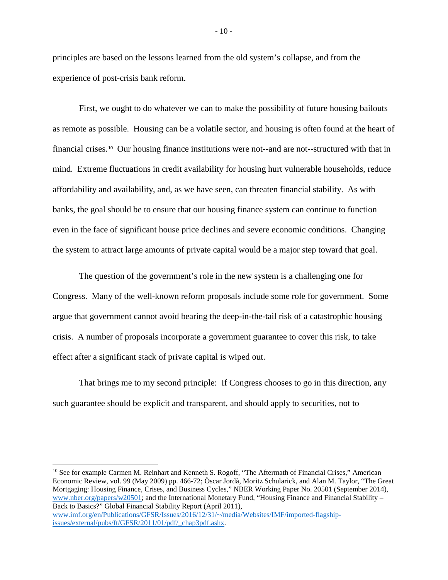principles are based on the lessons learned from the old system's collapse, and from the experience of post-crisis bank reform.

First, we ought to do whatever we can to make the possibility of future housing bailouts as remote as possible. Housing can be a volatile sector, and housing is often found at the heart of financial crises.[10](#page-10-0) Our housing finance institutions were not--and are not--structured with that in mind. Extreme fluctuations in credit availability for housing hurt vulnerable households, reduce affordability and availability, and, as we have seen, can threaten financial stability. As with banks, the goal should be to ensure that our housing finance system can continue to function even in the face of significant house price declines and severe economic conditions. Changing the system to attract large amounts of private capital would be a major step toward that goal.

The question of the government's role in the new system is a challenging one for Congress. Many of the well-known reform proposals include some role for government. Some argue that government cannot avoid bearing the deep-in-the-tail risk of a catastrophic housing crisis. A number of proposals incorporate a government guarantee to cover this risk, to take effect after a significant stack of private capital is wiped out.

That brings me to my second principle: If Congress chooses to go in this direction, any such guarantee should be explicit and transparent, and should apply to securities, not to

<span id="page-10-0"></span><sup>10</sup> See for example Carmen M. Reinhart and Kenneth S. Rogoff, "The Aftermath of Financial Crises," American Economic Review, vol. 99 (May 2009) pp. 466-72; Òscar Jordà, Moritz Schularick, and Alan M. Taylor, "The Great Mortgaging: Housing Finance, Crises, and Business Cycles," NBER Working Paper No. 20501 (September 2014), [www.nber.org/papers/w20501;](http://www.nber.org/papers/w20501) and the International Monetary Fund, "Housing Finance and Financial Stability – Back to Basics?" Global Financial Stability Report (April 2011), [www.imf.org/en/Publications/GFSR/Issues/2016/12/31/~/media/Websites/IMF/imported-flagship](https://www.imf.org/en/Publications/GFSR/Issues/2016/12/31/%7E/media/Websites/IMF/imported-flagship-issues/external/pubs/ft/GFSR/2011/01/pdf/_chap3pdf.ashx)[issues/external/pubs/ft/GFSR/2011/01/pdf/\\_chap3pdf.ashx.](https://www.imf.org/en/Publications/GFSR/Issues/2016/12/31/%7E/media/Websites/IMF/imported-flagship-issues/external/pubs/ft/GFSR/2011/01/pdf/_chap3pdf.ashx)

 $\overline{a}$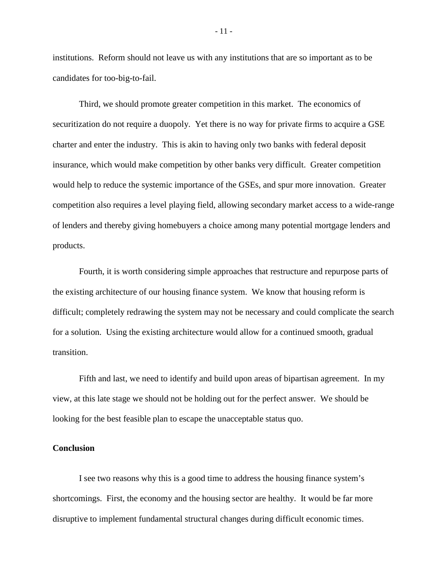institutions. Reform should not leave us with any institutions that are so important as to be candidates for too-big-to-fail.

Third, we should promote greater competition in this market. The economics of securitization do not require a duopoly. Yet there is no way for private firms to acquire a GSE charter and enter the industry. This is akin to having only two banks with federal deposit insurance, which would make competition by other banks very difficult. Greater competition would help to reduce the systemic importance of the GSEs, and spur more innovation. Greater competition also requires a level playing field, allowing secondary market access to a wide-range of lenders and thereby giving homebuyers a choice among many potential mortgage lenders and products.

Fourth, it is worth considering simple approaches that restructure and repurpose parts of the existing architecture of our housing finance system. We know that housing reform is difficult; completely redrawing the system may not be necessary and could complicate the search for a solution. Using the existing architecture would allow for a continued smooth, gradual transition.

Fifth and last, we need to identify and build upon areas of bipartisan agreement. In my view, at this late stage we should not be holding out for the perfect answer. We should be looking for the best feasible plan to escape the unacceptable status quo.

# **Conclusion**

I see two reasons why this is a good time to address the housing finance system's shortcomings. First, the economy and the housing sector are healthy. It would be far more disruptive to implement fundamental structural changes during difficult economic times.

- 11 -